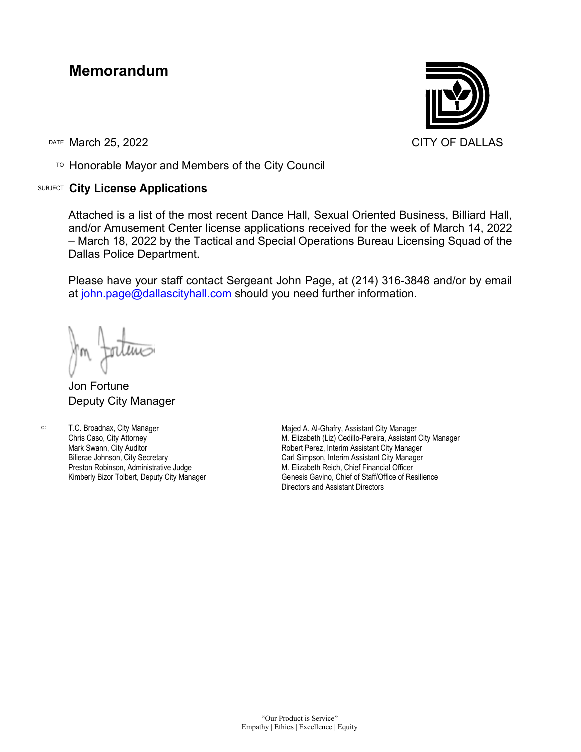## **Memorandum**

DATE March 25, 2022 CITY OF DALLAS

TO Honorable Mayor and Members of the City Council

## SUBJECT **City License Applications**



Attached is a list of the most recent Dance Hall, Sexual Oriented Business, Billiard Hall, and/or Amusement Center license applications received for the week of March 14, 2022 – March 18, 2022 by the Tactical and Special Operations Bureau Licensing Squad of the Dallas Police Department.

Please have your staff contact Sergeant John Page, at (214) 316-3848 and/or by email at [john.page@dallascityhall.com](mailto:john.page@dallascityhall.com) should you need further information.

Jon Fortune Deputy City Manager

c:

T.C. Broadnax, City Manager Chris Caso, City Attorney Mark Swann, City Auditor Bilierae Johnson, City Secretary Preston Robinson, Administrative Judge Kimberly Bizor Tolbert, Deputy City Manager

Majed A. Al-Ghafry, Assistant City Manager M. Elizabeth (Liz) Cedillo-Pereira, Assistant City Manager Robert Perez, Interim Assistant City Manager Carl Simpson, Interim Assistant City Manager M. Elizabeth Reich, Chief Financial Officer Genesis Gavino, Chief of Staff/Office of Resilience Directors and Assistant Directors